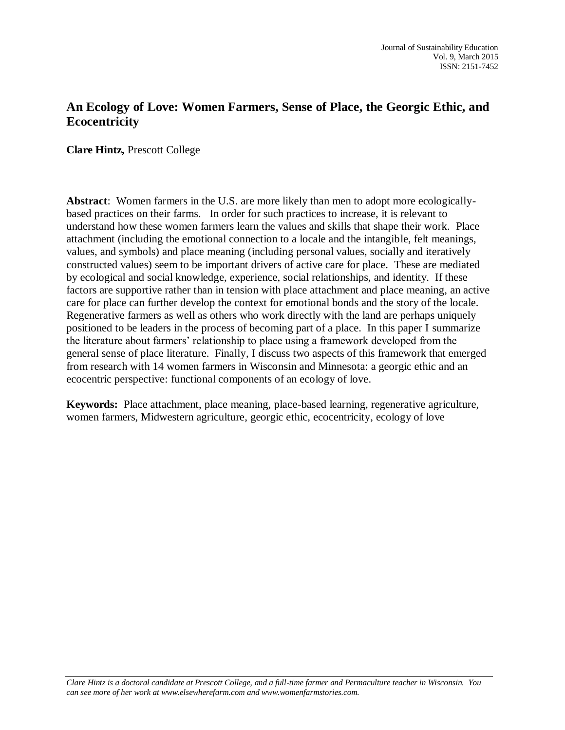# **An Ecology of Love: Women Farmers, Sense of Place, the Georgic Ethic, and Ecocentricity**

**Clare Hintz,** Prescott College

**Abstract**: Women farmers in the U.S. are more likely than men to adopt more ecologicallybased practices on their farms. In order for such practices to increase, it is relevant to understand how these women farmers learn the values and skills that shape their work. Place attachment (including the emotional connection to a locale and the intangible, felt meanings, values, and symbols) and place meaning (including personal values, socially and iteratively constructed values) seem to be important drivers of active care for place. These are mediated by ecological and social knowledge, experience, social relationships, and identity. If these factors are supportive rather than in tension with place attachment and place meaning, an active care for place can further develop the context for emotional bonds and the story of the locale. Regenerative farmers as well as others who work directly with the land are perhaps uniquely positioned to be leaders in the process of becoming part of a place. In this paper I summarize the literature about farmers' relationship to place using a framework developed from the general sense of place literature. Finally, I discuss two aspects of this framework that emerged from research with 14 women farmers in Wisconsin and Minnesota: a georgic ethic and an ecocentric perspective: functional components of an ecology of love.

**Keywords:**Place attachment, place meaning, place-based learning, regenerative agriculture, women farmers, Midwestern agriculture, georgic ethic, ecocentricity, ecology of love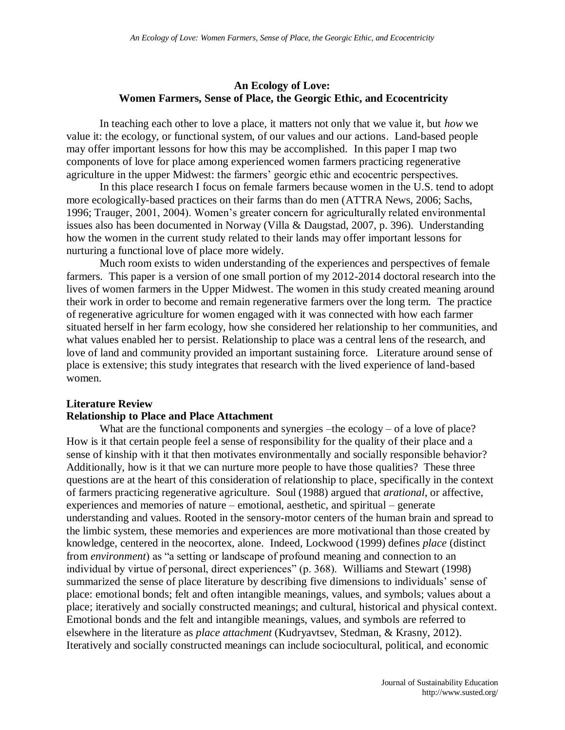## **An Ecology of Love: Women Farmers, Sense of Place, the Georgic Ethic, and Ecocentricity**

In teaching each other to love a place, it matters not only that we value it, but *how* we value it: the ecology, or functional system, of our values and our actions. Land-based people may offer important lessons for how this may be accomplished. In this paper I map two components of love for place among experienced women farmers practicing regenerative agriculture in the upper Midwest: the farmers' georgic ethic and ecocentric perspectives.

In this place research I focus on female farmers because women in the U.S. tend to adopt more ecologically-based practices on their farms than do men (ATTRA News, 2006; Sachs, 1996; Trauger, 2001, 2004). Women's greater concern for agriculturally related environmental issues also has been documented in Norway (Villa & Daugstad, 2007, p. 396). Understanding how the women in the current study related to their lands may offer important lessons for nurturing a functional love of place more widely.

Much room exists to widen understanding of the experiences and perspectives of female farmers. This paper is a version of one small portion of my 2012-2014 doctoral research into the lives of women farmers in the Upper Midwest. The women in this study created meaning around their work in order to become and remain regenerative farmers over the long term. The practice of regenerative agriculture for women engaged with it was connected with how each farmer situated herself in her farm ecology, how she considered her relationship to her communities, and what values enabled her to persist. Relationship to place was a central lens of the research, and love of land and community provided an important sustaining force. Literature around sense of place is extensive; this study integrates that research with the lived experience of land-based women.

## **Literature Review**

#### **Relationship to Place and Place Attachment**

What are the functional components and synergies –the ecology – of a love of place? How is it that certain people feel a sense of responsibility for the quality of their place and a sense of kinship with it that then motivates environmentally and socially responsible behavior? Additionally, how is it that we can nurture more people to have those qualities? These three questions are at the heart of this consideration of relationship to place, specifically in the context of farmers practicing regenerative agriculture. Soul (1988) argued that *arational*, or affective, experiences and memories of nature – emotional, aesthetic, and spiritual – generate understanding and values. Rooted in the sensory-motor centers of the human brain and spread to the limbic system, these memories and experiences are more motivational than those created by knowledge, centered in the neocortex, alone. Indeed, Lockwood (1999) defines *place* (distinct from *environment*) as "a setting or landscape of profound meaning and connection to an individual by virtue of personal, direct experiences" (p. 368). Williams and Stewart (1998) summarized the sense of place literature by describing five dimensions to individuals' sense of place: emotional bonds; felt and often intangible meanings, values, and symbols; values about a place; iteratively and socially constructed meanings; and cultural, historical and physical context. Emotional bonds and the felt and intangible meanings, values, and symbols are referred to elsewhere in the literature as *place attachment* (Kudryavtsev, Stedman, & Krasny, 2012). Iteratively and socially constructed meanings can include sociocultural, political, and economic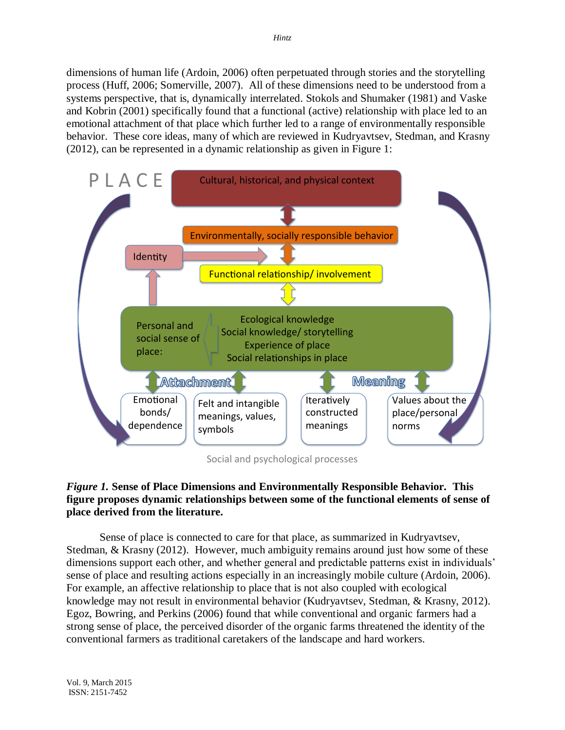dimensions of human life (Ardoin, 2006) often perpetuated through stories and the storytelling process (Huff, 2006; Somerville, 2007). All of these dimensions need to be understood from a systems perspective, that is, dynamically interrelated. Stokols and Shumaker (1981) and Vaske and Kobrin (2001) specifically found that a functional (active) relationship with place led to an emotional attachment of that place which further led to a range of environmentally responsible behavior. These core ideas, many of which are reviewed in Kudryavtsev, Stedman, and Krasny (2012), can be represented in a dynamic relationship as given in Figure 1:



Social and psychological processes

# *Figure 1.* **Sense of Place Dimensions and Environmentally Responsible Behavior. This figure proposes dynamic relationships between some of the functional elements of sense of place derived from the literature.**

Sense of place is connected to care for that place, as summarized in Kudryavtsev, Stedman, & Krasny (2012). However, much ambiguity remains around just how some of these dimensions support each other, and whether general and predictable patterns exist in individuals' sense of place and resulting actions especially in an increasingly mobile culture (Ardoin, 2006). For example, an affective relationship to place that is not also coupled with ecological knowledge may not result in environmental behavior (Kudryavtsev, Stedman, & Krasny, 2012). Egoz, Bowring, and Perkins (2006) found that while conventional and organic farmers had a strong sense of place, the perceived disorder of the organic farms threatened the identity of the conventional farmers as traditional caretakers of the landscape and hard workers.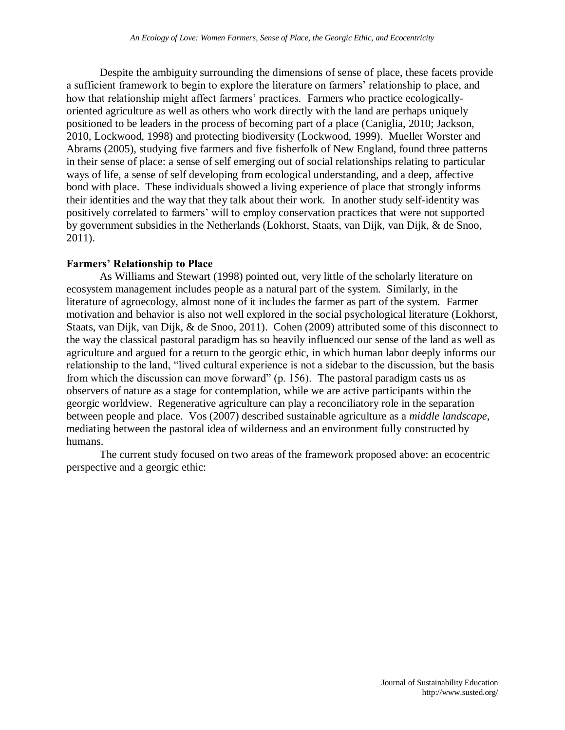Despite the ambiguity surrounding the dimensions of sense of place, these facets provide a sufficient framework to begin to explore the literature on farmers' relationship to place, and how that relationship might affect farmers' practices. Farmers who practice ecologicallyoriented agriculture as well as others who work directly with the land are perhaps uniquely positioned to be leaders in the process of becoming part of a place (Caniglia, 2010; Jackson, 2010, Lockwood, 1998) and protecting biodiversity (Lockwood, 1999). Mueller Worster and Abrams (2005), studying five farmers and five fisherfolk of New England, found three patterns in their sense of place: a sense of self emerging out of social relationships relating to particular ways of life, a sense of self developing from ecological understanding, and a deep, affective bond with place. These individuals showed a living experience of place that strongly informs their identities and the way that they talk about their work. In another study self-identity was positively correlated to farmers' will to employ conservation practices that were not supported by government subsidies in the Netherlands (Lokhorst, Staats, van Dijk, van Dijk, & de Snoo, 2011).

# **Farmers' Relationship to Place**

As Williams and Stewart (1998) pointed out, very little of the scholarly literature on ecosystem management includes people as a natural part of the system. Similarly, in the literature of agroecology, almost none of it includes the farmer as part of the system. Farmer motivation and behavior is also not well explored in the social psychological literature (Lokhorst, Staats, van Dijk, van Dijk, & de Snoo, 2011). Cohen (2009) attributed some of this disconnect to the way the classical pastoral paradigm has so heavily influenced our sense of the land as well as agriculture and argued for a return to the georgic ethic, in which human labor deeply informs our relationship to the land, "lived cultural experience is not a sidebar to the discussion, but the basis from which the discussion can move forward" (p. 156). The pastoral paradigm casts us as observers of nature as a stage for contemplation, while we are active participants within the georgic worldview. Regenerative agriculture can play a reconciliatory role in the separation between people and place. Vos (2007) described sustainable agriculture as a *middle landscape*, mediating between the pastoral idea of wilderness and an environment fully constructed by humans.

The current study focused on two areas of the framework proposed above: an ecocentric perspective and a georgic ethic: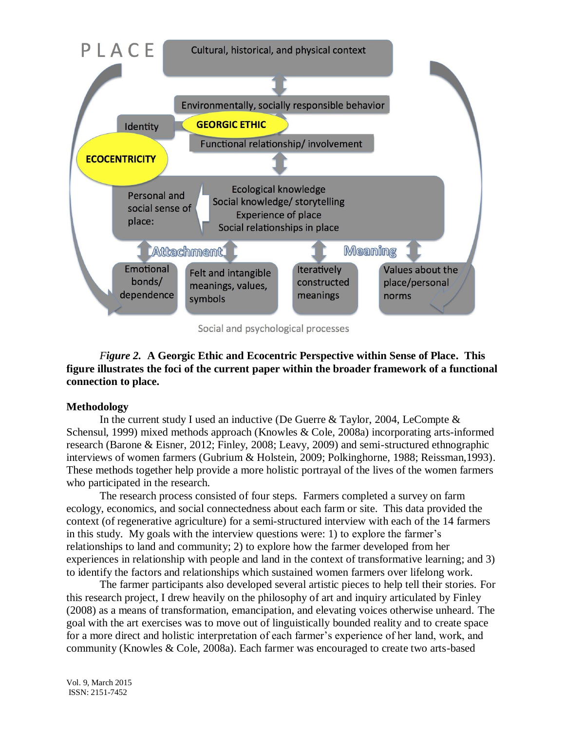

Social and psychological processes

# *Figure 2.* **A Georgic Ethic and Ecocentric Perspective within Sense of Place. This figure illustrates the foci of the current paper within the broader framework of a functional connection to place.**

# **Methodology**

In the current study I used an inductive (De Guerre & Taylor, 2004, LeCompte & Schensul, 1999) mixed methods approach (Knowles & Cole, 2008a) incorporating arts-informed research (Barone & Eisner, 2012; Finley, 2008; Leavy, 2009) and semi-structured ethnographic interviews of women farmers (Gubrium & Holstein, 2009; Polkinghorne, 1988; Reissman,1993). These methods together help provide a more holistic portrayal of the lives of the women farmers who participated in the research.

The research process consisted of four steps. Farmers completed a survey on farm ecology, economics, and social connectedness about each farm or site. This data provided the context (of regenerative agriculture) for a semi-structured interview with each of the 14 farmers in this study. My goals with the interview questions were: 1) to explore the farmer's relationships to land and community; 2) to explore how the farmer developed from her experiences in relationship with people and land in the context of transformative learning; and 3) to identify the factors and relationships which sustained women farmers over lifelong work.

The farmer participants also developed several artistic pieces to help tell their stories. For this research project, I drew heavily on the philosophy of art and inquiry articulated by Finley (2008) as a means of transformation, emancipation, and elevating voices otherwise unheard. The goal with the art exercises was to move out of linguistically bounded reality and to create space for a more direct and holistic interpretation of each farmer's experience of her land, work, and community (Knowles & Cole, 2008a). Each farmer was encouraged to create two arts-based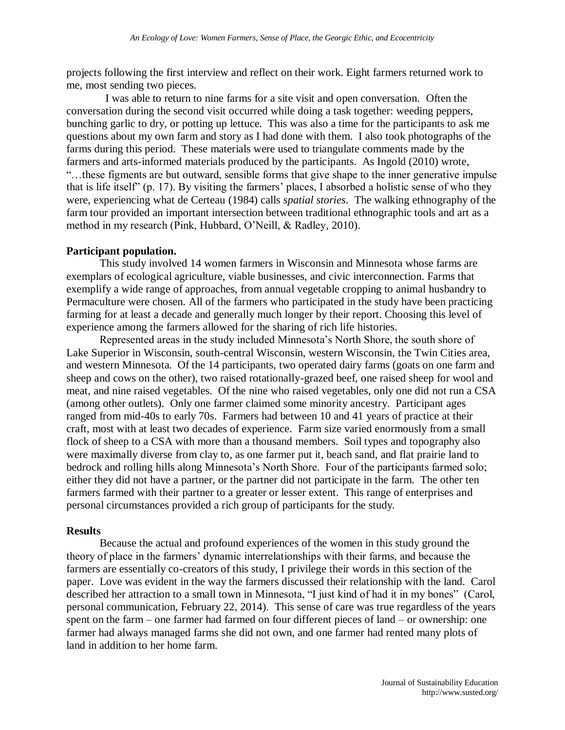projects following the first interview and reflect on their work. Eight farmers returned work to me, most sending two pieces.

 I was able to return to nine farms for a site visit and open conversation. Often the conversation during the second visit occurred while doing a task together: weeding peppers, bunching garlic to dry, or potting up lettuce. This was also a time for the participants to ask me questions about my own farm and story as I had done with them. I also took photographs of the farms during this period. These materials were used to triangulate comments made by the farmers and arts-informed materials produced by the participants. As Ingold (2010) wrote, "…these figments are but outward, sensible forms that give shape to the inner generative impulse that is life itself" (p. 17). By visiting the farmers' places, I absorbed a holistic sense of who they were, experiencing what de Certeau (1984) calls *spatial stories*. The walking ethnography of the farm tour provided an important intersection between traditional ethnographic tools and art as a method in my research (Pink, Hubbard, O'Neill, & Radley, 2010).

#### **Participant population.**

This study involved 14 women farmers in Wisconsin and Minnesota whose farms are exemplars of ecological agriculture, viable businesses, and civic interconnection. Farms that exemplify a wide range of approaches, from annual vegetable cropping to animal husbandry to Permaculture were chosen. All of the farmers who participated in the study have been practicing farming for at least a decade and generally much longer by their report. Choosing this level of experience among the farmers allowed for the sharing of rich life histories.

Represented areas in the study included Minnesota's North Shore, the south shore of Lake Superior in Wisconsin, south-central Wisconsin, western Wisconsin, the Twin Cities area, and western Minnesota. Of the 14 participants, two operated dairy farms (goats on one farm and sheep and cows on the other), two raised rotationally-grazed beef, one raised sheep for wool and meat, and nine raised vegetables. Of the nine who raised vegetables, only one did not run a CSA (among other outlets). Only one farmer claimed some minority ancestry. Participant ages ranged from mid-40s to early 70s. Farmers had between 10 and 41 years of practice at their craft, most with at least two decades of experience. Farm size varied enormously from a small flock of sheep to a CSA with more than a thousand members. Soil types and topography also were maximally diverse from clay to, as one farmer put it, beach sand, and flat prairie land to bedrock and rolling hills along Minnesota's North Shore. Four of the participants farmed solo; either they did not have a partner, or the partner did not participate in the farm. The other ten farmers farmed with their partner to a greater or lesser extent. This range of enterprises and personal circumstances provided a rich group of participants for the study.

#### **Results**

Because the actual and profound experiences of the women in this study ground the theory of place in the farmers' dynamic interrelationships with their farms, and because the farmers are essentially co-creators of this study, I privilege their words in this section of the paper. Love was evident in the way the farmers discussed their relationship with the land. Carol described her attraction to a small town in Minnesota, "I just kind of had it in my bones" (Carol, personal communication, February 22, 2014). This sense of care was true regardless of the years spent on the farm – one farmer had farmed on four different pieces of land – or ownership: one farmer had always managed farms she did not own, and one farmer had rented many plots of land in addition to her home farm.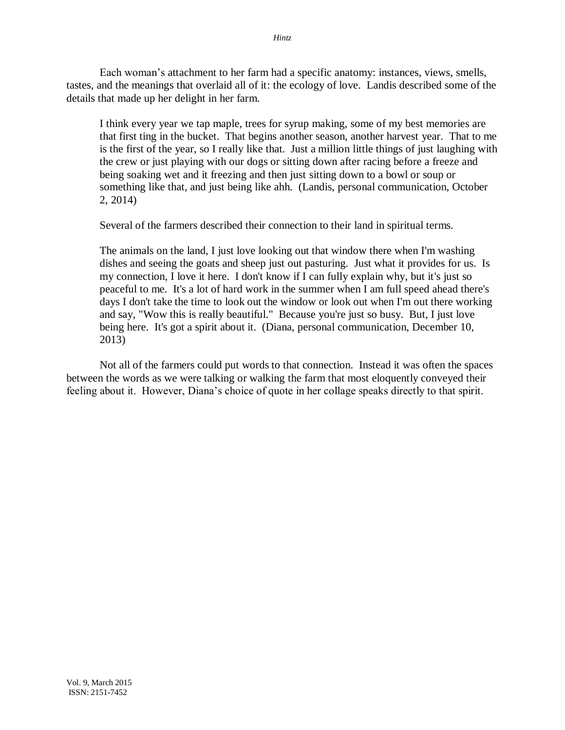Each woman's attachment to her farm had a specific anatomy: instances, views, smells, tastes, and the meanings that overlaid all of it: the ecology of love. Landis described some of the details that made up her delight in her farm.

I think every year we tap maple, trees for syrup making, some of my best memories are that first ting in the bucket. That begins another season, another harvest year. That to me is the first of the year, so I really like that. Just a million little things of just laughing with the crew or just playing with our dogs or sitting down after racing before a freeze and being soaking wet and it freezing and then just sitting down to a bowl or soup or something like that, and just being like ahh. (Landis, personal communication, October 2, 2014)

Several of the farmers described their connection to their land in spiritual terms.

The animals on the land, I just love looking out that window there when I'm washing dishes and seeing the goats and sheep just out pasturing. Just what it provides for us. Is my connection, I love it here. I don't know if I can fully explain why, but it's just so peaceful to me. It's a lot of hard work in the summer when I am full speed ahead there's days I don't take the time to look out the window or look out when I'm out there working and say, "Wow this is really beautiful." Because you're just so busy. But, I just love being here. It's got a spirit about it. (Diana, personal communication, December 10, 2013)

Not all of the farmers could put words to that connection. Instead it was often the spaces between the words as we were talking or walking the farm that most eloquently conveyed their feeling about it. However, Diana's choice of quote in her collage speaks directly to that spirit.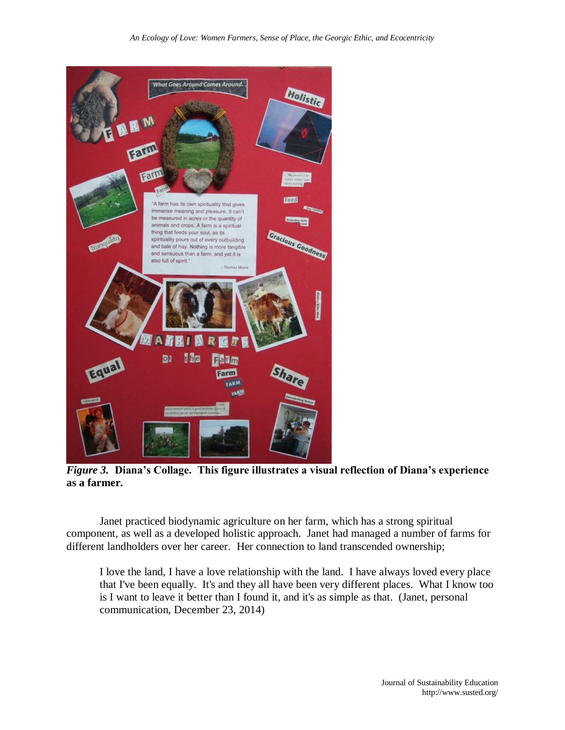

*Figure 3.* **Diana's Collage. This figure illustrates a visual reflection of Diana's experience as a farmer.**

Janet practiced biodynamic agriculture on her farm, which has a strong spiritual component, as well as a developed holistic approach. Janet had managed a number of farms for different landholders over her career. Her connection to land transcended ownership;

I love the land, I have a love relationship with the land. I have always loved every place that I've been equally. It's and they all have been very different places. What I know too is I want to leave it better than I found it, and it's as simple as that. (Janet, personal communication, December 23, 2014)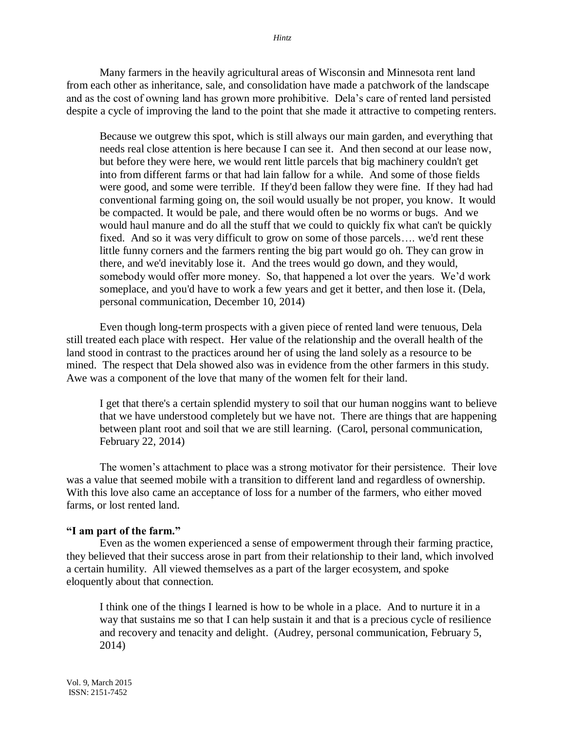*Hintz*

Many farmers in the heavily agricultural areas of Wisconsin and Minnesota rent land from each other as inheritance, sale, and consolidation have made a patchwork of the landscape and as the cost of owning land has grown more prohibitive. Dela's care of rented land persisted despite a cycle of improving the land to the point that she made it attractive to competing renters.

Because we outgrew this spot, which is still always our main garden, and everything that needs real close attention is here because I can see it. And then second at our lease now, but before they were here, we would rent little parcels that big machinery couldn't get into from different farms or that had lain fallow for a while. And some of those fields were good, and some were terrible. If they'd been fallow they were fine. If they had had conventional farming going on, the soil would usually be not proper, you know. It would be compacted. It would be pale, and there would often be no worms or bugs. And we would haul manure and do all the stuff that we could to quickly fix what can't be quickly fixed. And so it was very difficult to grow on some of those parcels…. we'd rent these little funny corners and the farmers renting the big part would go oh. They can grow in there, and we'd inevitably lose it. And the trees would go down, and they would, somebody would offer more money. So, that happened a lot over the years. We'd work someplace, and you'd have to work a few years and get it better, and then lose it. (Dela, personal communication, December 10, 2014)

Even though long-term prospects with a given piece of rented land were tenuous, Dela still treated each place with respect. Her value of the relationship and the overall health of the land stood in contrast to the practices around her of using the land solely as a resource to be mined. The respect that Dela showed also was in evidence from the other farmers in this study. Awe was a component of the love that many of the women felt for their land.

I get that there's a certain splendid mystery to soil that our human noggins want to believe that we have understood completely but we have not. There are things that are happening between plant root and soil that we are still learning. (Carol, personal communication, February 22, 2014)

The women's attachment to place was a strong motivator for their persistence. Their love was a value that seemed mobile with a transition to different land and regardless of ownership. With this love also came an acceptance of loss for a number of the farmers, who either moved farms, or lost rented land.

# **"I am part of the farm."**

Even as the women experienced a sense of empowerment through their farming practice, they believed that their success arose in part from their relationship to their land, which involved a certain humility. All viewed themselves as a part of the larger ecosystem, and spoke eloquently about that connection.

I think one of the things I learned is how to be whole in a place. And to nurture it in a way that sustains me so that I can help sustain it and that is a precious cycle of resilience and recovery and tenacity and delight. (Audrey, personal communication, February 5, 2014)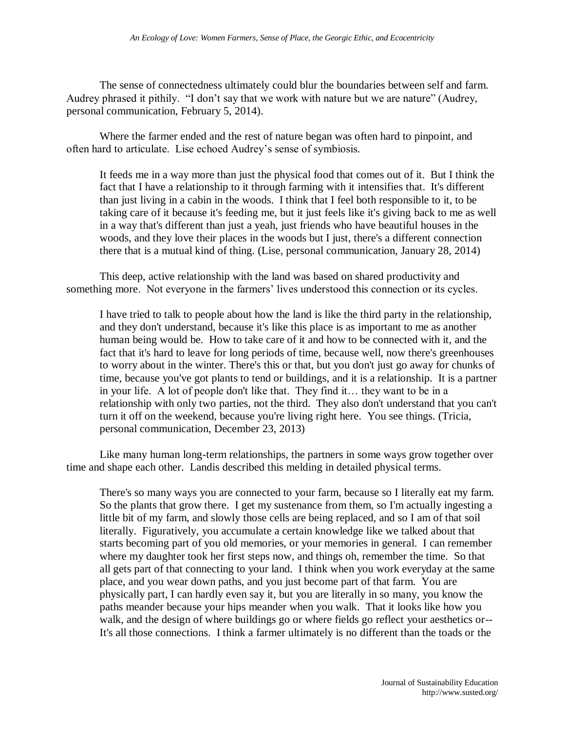The sense of connectedness ultimately could blur the boundaries between self and farm. Audrey phrased it pithily. "I don't say that we work with nature but we are nature" (Audrey, personal communication, February 5, 2014).

Where the farmer ended and the rest of nature began was often hard to pinpoint, and often hard to articulate. Lise echoed Audrey's sense of symbiosis.

It feeds me in a way more than just the physical food that comes out of it. But I think the fact that I have a relationship to it through farming with it intensifies that. It's different than just living in a cabin in the woods. I think that I feel both responsible to it, to be taking care of it because it's feeding me, but it just feels like it's giving back to me as well in a way that's different than just a yeah, just friends who have beautiful houses in the woods, and they love their places in the woods but I just, there's a different connection there that is a mutual kind of thing. (Lise, personal communication, January 28, 2014)

This deep, active relationship with the land was based on shared productivity and something more. Not everyone in the farmers' lives understood this connection or its cycles.

I have tried to talk to people about how the land is like the third party in the relationship, and they don't understand, because it's like this place is as important to me as another human being would be. How to take care of it and how to be connected with it, and the fact that it's hard to leave for long periods of time, because well, now there's greenhouses to worry about in the winter. There's this or that, but you don't just go away for chunks of time, because you've got plants to tend or buildings, and it is a relationship. It is a partner in your life. A lot of people don't like that. They find it… they want to be in a relationship with only two parties, not the third. They also don't understand that you can't turn it off on the weekend, because you're living right here. You see things. (Tricia, personal communication, December 23, 2013)

Like many human long-term relationships, the partners in some ways grow together over time and shape each other. Landis described this melding in detailed physical terms.

There's so many ways you are connected to your farm, because so I literally eat my farm. So the plants that grow there. I get my sustenance from them, so I'm actually ingesting a little bit of my farm, and slowly those cells are being replaced, and so I am of that soil literally. Figuratively, you accumulate a certain knowledge like we talked about that starts becoming part of you old memories, or your memories in general. I can remember where my daughter took her first steps now, and things oh, remember the time. So that all gets part of that connecting to your land. I think when you work everyday at the same place, and you wear down paths, and you just become part of that farm. You are physically part, I can hardly even say it, but you are literally in so many, you know the paths meander because your hips meander when you walk. That it looks like how you walk, and the design of where buildings go or where fields go reflect your aesthetics or-- It's all those connections. I think a farmer ultimately is no different than the toads or the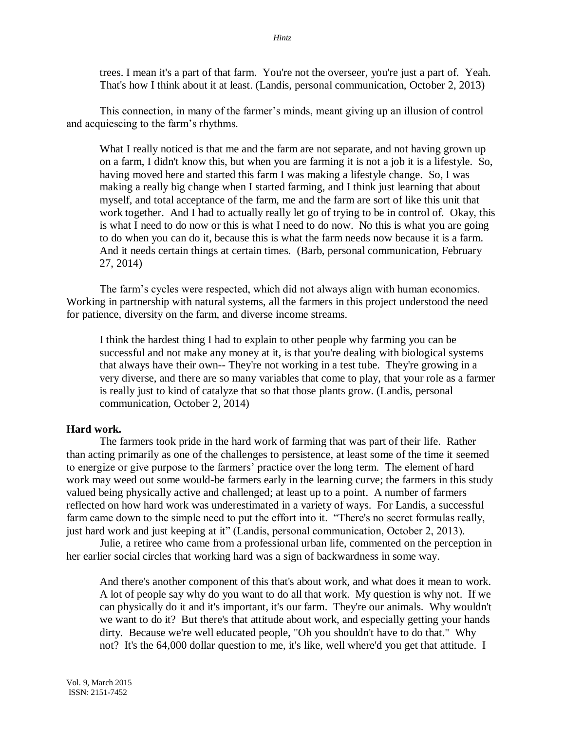trees. I mean it's a part of that farm. You're not the overseer, you're just a part of. Yeah. That's how I think about it at least. (Landis, personal communication, October 2, 2013)

This connection, in many of the farmer's minds, meant giving up an illusion of control and acquiescing to the farm's rhythms.

What I really noticed is that me and the farm are not separate, and not having grown up on a farm, I didn't know this, but when you are farming it is not a job it is a lifestyle. So, having moved here and started this farm I was making a lifestyle change. So, I was making a really big change when I started farming, and I think just learning that about myself, and total acceptance of the farm, me and the farm are sort of like this unit that work together. And I had to actually really let go of trying to be in control of. Okay, this is what I need to do now or this is what I need to do now. No this is what you are going to do when you can do it, because this is what the farm needs now because it is a farm. And it needs certain things at certain times. (Barb, personal communication, February 27, 2014)

The farm's cycles were respected, which did not always align with human economics. Working in partnership with natural systems, all the farmers in this project understood the need for patience, diversity on the farm, and diverse income streams.

I think the hardest thing I had to explain to other people why farming you can be successful and not make any money at it, is that you're dealing with biological systems that always have their own-- They're not working in a test tube. They're growing in a very diverse, and there are so many variables that come to play, that your role as a farmer is really just to kind of catalyze that so that those plants grow. (Landis, personal communication, October 2, 2014)

## **Hard work.**

The farmers took pride in the hard work of farming that was part of their life. Rather than acting primarily as one of the challenges to persistence, at least some of the time it seemed to energize or give purpose to the farmers' practice over the long term. The element of hard work may weed out some would-be farmers early in the learning curve; the farmers in this study valued being physically active and challenged; at least up to a point. A number of farmers reflected on how hard work was underestimated in a variety of ways. For Landis, a successful farm came down to the simple need to put the effort into it. "There's no secret formulas really, just hard work and just keeping at it" (Landis, personal communication, October 2, 2013).

Julie, a retiree who came from a professional urban life, commented on the perception in her earlier social circles that working hard was a sign of backwardness in some way.

And there's another component of this that's about work, and what does it mean to work. A lot of people say why do you want to do all that work. My question is why not. If we can physically do it and it's important, it's our farm. They're our animals. Why wouldn't we want to do it? But there's that attitude about work, and especially getting your hands dirty. Because we're well educated people, "Oh you shouldn't have to do that." Why not? It's the 64,000 dollar question to me, it's like, well where'd you get that attitude. I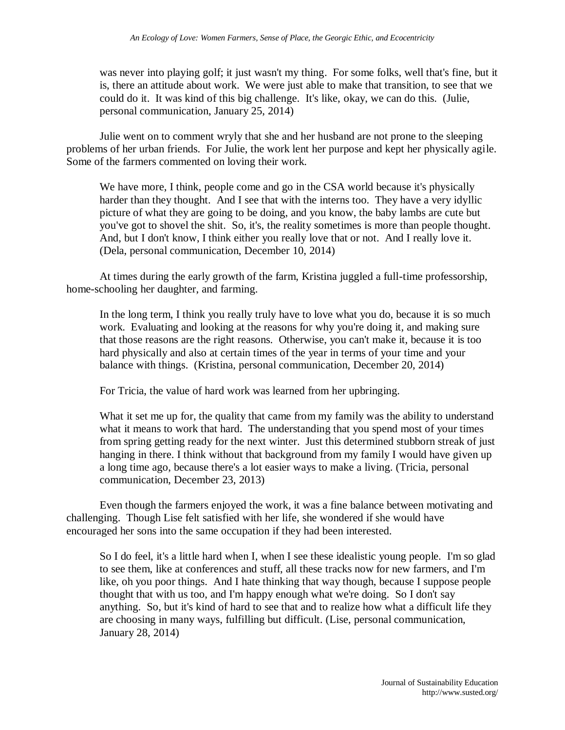was never into playing golf; it just wasn't my thing. For some folks, well that's fine, but it is, there an attitude about work. We were just able to make that transition, to see that we could do it. It was kind of this big challenge. It's like, okay, we can do this. (Julie, personal communication, January 25, 2014)

Julie went on to comment wryly that she and her husband are not prone to the sleeping problems of her urban friends. For Julie, the work lent her purpose and kept her physically agile. Some of the farmers commented on loving their work.

We have more, I think, people come and go in the CSA world because it's physically harder than they thought. And I see that with the interns too. They have a very idyllic picture of what they are going to be doing, and you know, the baby lambs are cute but you've got to shovel the shit. So, it's, the reality sometimes is more than people thought. And, but I don't know, I think either you really love that or not. And I really love it. (Dela, personal communication, December 10, 2014)

At times during the early growth of the farm, Kristina juggled a full-time professorship, home-schooling her daughter, and farming.

In the long term, I think you really truly have to love what you do, because it is so much work. Evaluating and looking at the reasons for why you're doing it, and making sure that those reasons are the right reasons. Otherwise, you can't make it, because it is too hard physically and also at certain times of the year in terms of your time and your balance with things. (Kristina, personal communication, December 20, 2014)

For Tricia, the value of hard work was learned from her upbringing.

What it set me up for, the quality that came from my family was the ability to understand what it means to work that hard. The understanding that you spend most of your times from spring getting ready for the next winter. Just this determined stubborn streak of just hanging in there. I think without that background from my family I would have given up a long time ago, because there's a lot easier ways to make a living. (Tricia, personal communication, December 23, 2013)

Even though the farmers enjoyed the work, it was a fine balance between motivating and challenging. Though Lise felt satisfied with her life, she wondered if she would have encouraged her sons into the same occupation if they had been interested.

So I do feel, it's a little hard when I, when I see these idealistic young people. I'm so glad to see them, like at conferences and stuff, all these tracks now for new farmers, and I'm like, oh you poor things. And I hate thinking that way though, because I suppose people thought that with us too, and I'm happy enough what we're doing. So I don't say anything. So, but it's kind of hard to see that and to realize how what a difficult life they are choosing in many ways, fulfilling but difficult. (Lise, personal communication, January 28, 2014)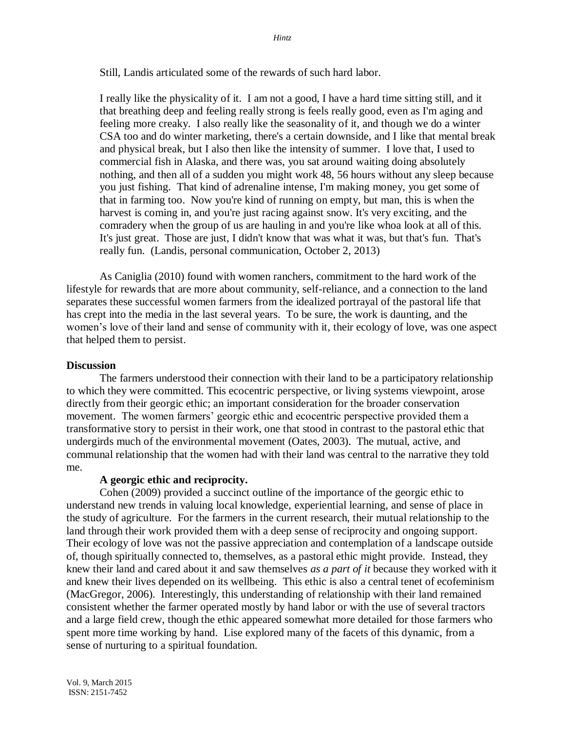Still, Landis articulated some of the rewards of such hard labor.

I really like the physicality of it. I am not a good, I have a hard time sitting still, and it that breathing deep and feeling really strong is feels really good, even as I'm aging and feeling more creaky. I also really like the seasonality of it, and though we do a winter CSA too and do winter marketing, there's a certain downside, and I like that mental break and physical break, but I also then like the intensity of summer. I love that, I used to commercial fish in Alaska, and there was, you sat around waiting doing absolutely nothing, and then all of a sudden you might work 48, 56 hours without any sleep because you just fishing. That kind of adrenaline intense, I'm making money, you get some of that in farming too. Now you're kind of running on empty, but man, this is when the harvest is coming in, and you're just racing against snow. It's very exciting, and the comradery when the group of us are hauling in and you're like whoa look at all of this. It's just great. Those are just, I didn't know that was what it was, but that's fun. That's really fun. (Landis, personal communication, October 2, 2013)

As Caniglia (2010) found with women ranchers, commitment to the hard work of the lifestyle for rewards that are more about community, self-reliance, and a connection to the land separates these successful women farmers from the idealized portrayal of the pastoral life that has crept into the media in the last several years. To be sure, the work is daunting, and the women's love of their land and sense of community with it, their ecology of love, was one aspect that helped them to persist.

### **Discussion**

The farmers understood their connection with their land to be a participatory relationship to which they were committed. This ecocentric perspective, or living systems viewpoint, arose directly from their georgic ethic; an important consideration for the broader conservation movement. The women farmers' georgic ethic and ecocentric perspective provided them a transformative story to persist in their work, one that stood in contrast to the pastoral ethic that undergirds much of the environmental movement (Oates, 2003). The mutual, active, and communal relationship that the women had with their land was central to the narrative they told me.

### **A georgic ethic and reciprocity.**

Cohen (2009) provided a succinct outline of the importance of the georgic ethic to understand new trends in valuing local knowledge, experiential learning, and sense of place in the study of agriculture. For the farmers in the current research, their mutual relationship to the land through their work provided them with a deep sense of reciprocity and ongoing support. Their ecology of love was not the passive appreciation and contemplation of a landscape outside of, though spiritually connected to, themselves, as a pastoral ethic might provide. Instead, they knew their land and cared about it and saw themselves *as a part of it* because they worked with it and knew their lives depended on its wellbeing. This ethic is also a central tenet of ecofeminism (MacGregor, 2006). Interestingly, this understanding of relationship with their land remained consistent whether the farmer operated mostly by hand labor or with the use of several tractors and a large field crew, though the ethic appeared somewhat more detailed for those farmers who spent more time working by hand. Lise explored many of the facets of this dynamic, from a sense of nurturing to a spiritual foundation.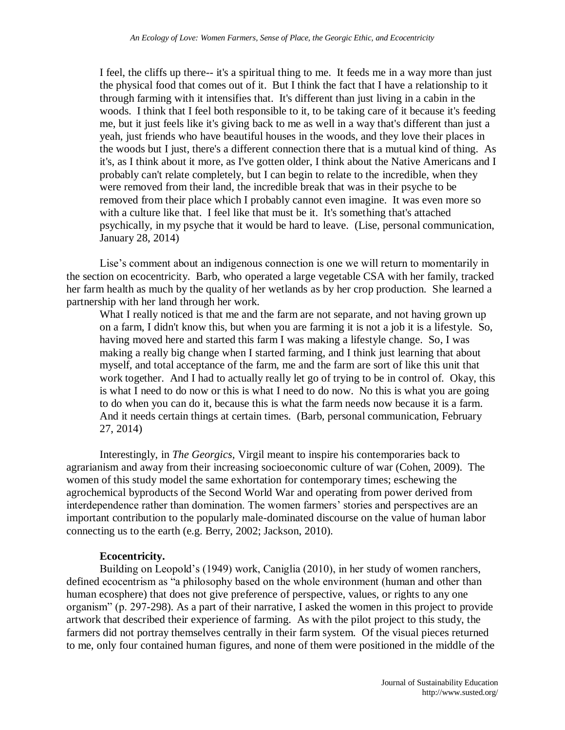I feel, the cliffs up there-- it's a spiritual thing to me. It feeds me in a way more than just the physical food that comes out of it. But I think the fact that I have a relationship to it through farming with it intensifies that. It's different than just living in a cabin in the woods. I think that I feel both responsible to it, to be taking care of it because it's feeding me, but it just feels like it's giving back to me as well in a way that's different than just a yeah, just friends who have beautiful houses in the woods, and they love their places in the woods but I just, there's a different connection there that is a mutual kind of thing. As it's, as I think about it more, as I've gotten older, I think about the Native Americans and I probably can't relate completely, but I can begin to relate to the incredible, when they were removed from their land, the incredible break that was in their psyche to be removed from their place which I probably cannot even imagine. It was even more so with a culture like that. I feel like that must be it. It's something that's attached psychically, in my psyche that it would be hard to leave. (Lise, personal communication, January 28, 2014)

Lise's comment about an indigenous connection is one we will return to momentarily in the section on ecocentricity. Barb, who operated a large vegetable CSA with her family, tracked her farm health as much by the quality of her wetlands as by her crop production. She learned a partnership with her land through her work.

What I really noticed is that me and the farm are not separate, and not having grown up on a farm, I didn't know this, but when you are farming it is not a job it is a lifestyle. So, having moved here and started this farm I was making a lifestyle change. So, I was making a really big change when I started farming, and I think just learning that about myself, and total acceptance of the farm, me and the farm are sort of like this unit that work together. And I had to actually really let go of trying to be in control of. Okay, this is what I need to do now or this is what I need to do now. No this is what you are going to do when you can do it, because this is what the farm needs now because it is a farm. And it needs certain things at certain times. (Barb, personal communication, February 27, 2014)

Interestingly, in *The Georgics,* Virgil meant to inspire his contemporaries back to agrarianism and away from their increasing socioeconomic culture of war (Cohen, 2009). The women of this study model the same exhortation for contemporary times; eschewing the agrochemical byproducts of the Second World War and operating from power derived from interdependence rather than domination. The women farmers' stories and perspectives are an important contribution to the popularly male-dominated discourse on the value of human labor connecting us to the earth (e.g. Berry, 2002; Jackson, 2010).

# **Ecocentricity.**

Building on Leopold's (1949) work, Caniglia (2010), in her study of women ranchers, defined ecocentrism as "a philosophy based on the whole environment (human and other than human ecosphere) that does not give preference of perspective, values, or rights to any one organism" (p. 297-298). As a part of their narrative, I asked the women in this project to provide artwork that described their experience of farming. As with the pilot project to this study, the farmers did not portray themselves centrally in their farm system. Of the visual pieces returned to me, only four contained human figures, and none of them were positioned in the middle of the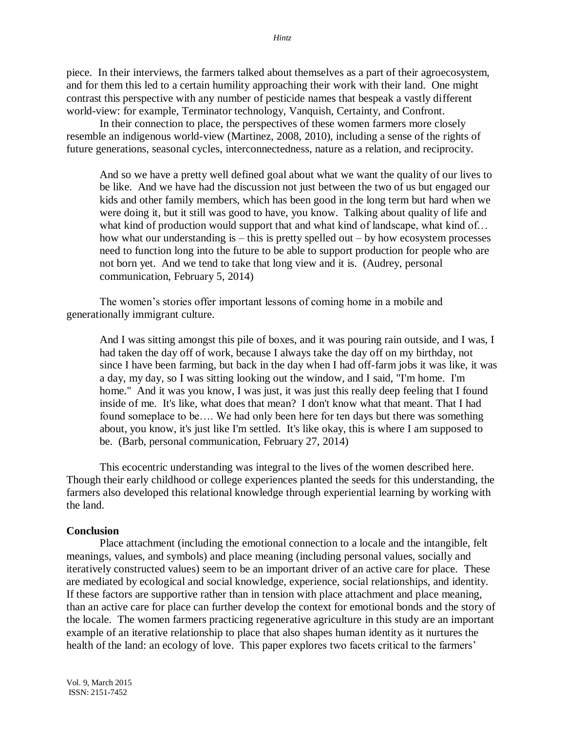piece. In their interviews, the farmers talked about themselves as a part of their agroecosystem, and for them this led to a certain humility approaching their work with their land. One might contrast this perspective with any number of pesticide names that bespeak a vastly different world-view: for example, Terminator technology, Vanquish, Certainty, and Confront.

In their connection to place, the perspectives of these women farmers more closely resemble an indigenous world-view (Martinez, 2008, 2010), including a sense of the rights of future generations, seasonal cycles, interconnectedness, nature as a relation, and reciprocity.

And so we have a pretty well defined goal about what we want the quality of our lives to be like. And we have had the discussion not just between the two of us but engaged our kids and other family members, which has been good in the long term but hard when we were doing it, but it still was good to have, you know. Talking about quality of life and what kind of production would support that and what kind of landscape, what kind of... how what our understanding is – this is pretty spelled out – by how ecosystem processes need to function long into the future to be able to support production for people who are not born yet. And we tend to take that long view and it is. (Audrey, personal communication, February 5, 2014)

The women's stories offer important lessons of coming home in a mobile and generationally immigrant culture.

And I was sitting amongst this pile of boxes, and it was pouring rain outside, and I was, I had taken the day off of work, because I always take the day off on my birthday, not since I have been farming, but back in the day when I had off-farm jobs it was like, it was a day, my day, so I was sitting looking out the window, and I said, "I'm home. I'm home." And it was you know, I was just, it was just this really deep feeling that I found inside of me. It's like, what does that mean? I don't know what that meant. That I had found someplace to be…. We had only been here for ten days but there was something about, you know, it's just like I'm settled. It's like okay, this is where I am supposed to be. (Barb, personal communication, February 27, 2014)

This ecocentric understanding was integral to the lives of the women described here. Though their early childhood or college experiences planted the seeds for this understanding, the farmers also developed this relational knowledge through experiential learning by working with the land.

## **Conclusion**

Place attachment (including the emotional connection to a locale and the intangible, felt meanings, values, and symbols) and place meaning (including personal values, socially and iteratively constructed values) seem to be an important driver of an active care for place. These are mediated by ecological and social knowledge, experience, social relationships, and identity. If these factors are supportive rather than in tension with place attachment and place meaning, than an active care for place can further develop the context for emotional bonds and the story of the locale. The women farmers practicing regenerative agriculture in this study are an important example of an iterative relationship to place that also shapes human identity as it nurtures the health of the land: an ecology of love. This paper explores two facets critical to the farmers'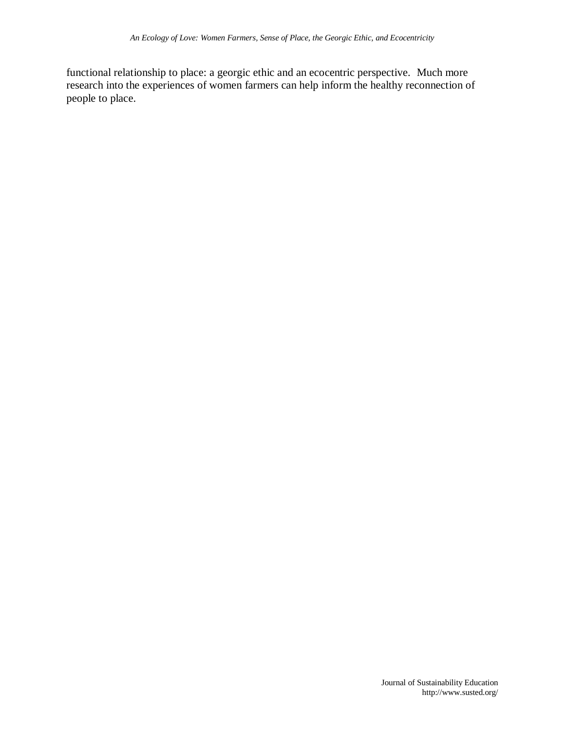functional relationship to place: a georgic ethic and an ecocentric perspective. Much more research into the experiences of women farmers can help inform the healthy reconnection of people to place.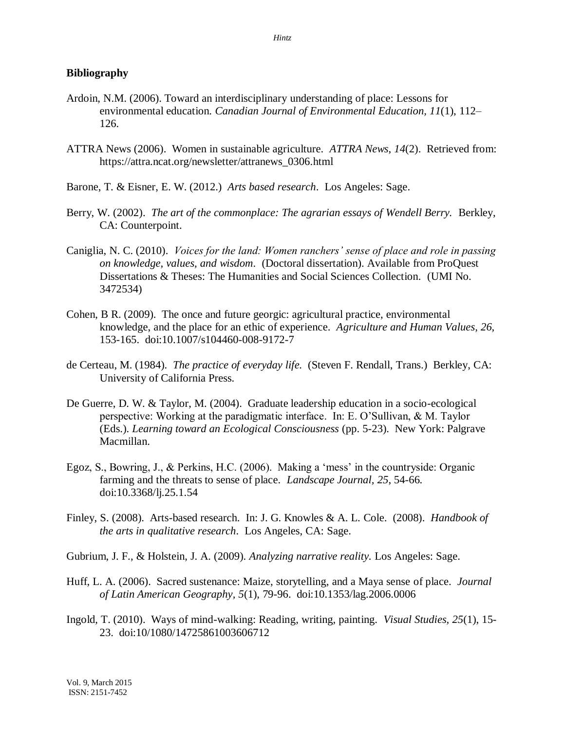# **Bibliography**

- Ardoin, N.M. (2006). Toward an interdisciplinary understanding of place: Lessons for environmental education. *Canadian Journal of Environmental Education, 11*(1), 112– 126.
- ATTRA News (2006). Women in sustainable agriculture. *ATTRA News*, *14*(2). Retrieved from: https://attra.ncat.org/newsletter/attranews\_0306.html
- Barone, T. & Eisner, E. W. (2012.) *Arts based research*. Los Angeles: Sage.
- Berry, W. (2002). *The art of the commonplace: The agrarian essays of Wendell Berry.* Berkley, CA: Counterpoint.
- Caniglia, N. C. (2010). *Voices for the land: Women ranchers' sense of place and role in passing on knowledge, values, and wisdom*. (Doctoral dissertation). Available from ProQuest Dissertations & Theses: The Humanities and Social Sciences Collection*.* (UMI No. 3472534)
- Cohen, B R. (2009). The once and future georgic: agricultural practice, environmental knowledge, and the place for an ethic of experience. *Agriculture and Human Values, 26*, 153-165. doi:10.1007/s104460-008-9172-7
- de Certeau, M. (1984). *The practice of everyday life.* (Steven F. Rendall, Trans.) Berkley, CA: University of California Press.
- De Guerre, D. W. & Taylor, M. (2004). Graduate leadership education in a socio-ecological perspective: Working at the paradigmatic interface. In: E. O'Sullivan, & M. Taylor (Eds.). *Learning toward an Ecological Consciousness* (pp. 5-23). New York: Palgrave Macmillan.
- Egoz, S., Bowring, J., & Perkins, H.C. (2006). Making a 'mess' in the countryside: Organic farming and the threats to sense of place. *Landscape Journal, 25*, 54-66. doi:10.3368/lj.25.1.54
- Finley, S. (2008). Arts-based research. In: J. G. Knowles & A. L. Cole. (2008). *Handbook of the arts in qualitative research*. Los Angeles, CA: Sage.
- Gubrium, J. F., & Holstein, J. A. (2009). *Analyzing narrative reality.* Los Angeles: Sage.
- Huff, L. A. (2006). Sacred sustenance: Maize, storytelling, and a Maya sense of place. *Journal of Latin American Geography, 5*(1), 79-96. doi:10.1353/lag.2006.0006
- Ingold, T. (2010). Ways of mind-walking: Reading, writing, painting. *Visual Studies, 25*(1), 15- 23. doi:10/1080/14725861003606712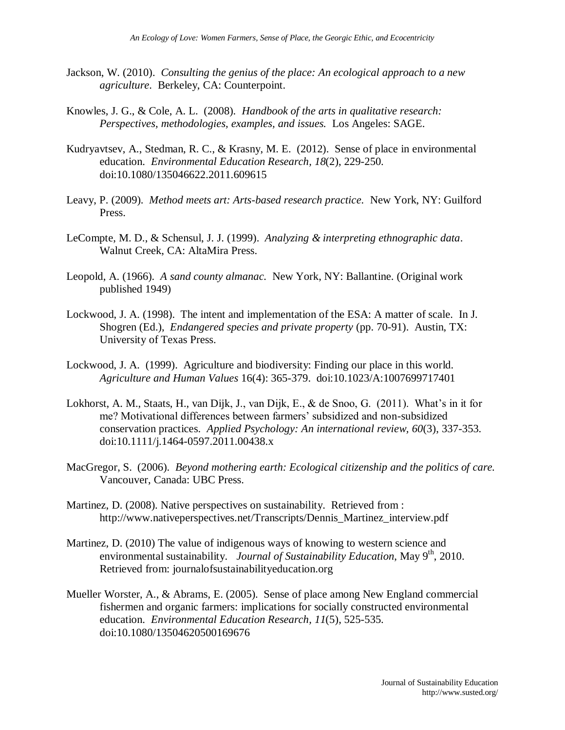- Jackson, W. (2010). *Consulting the genius of the place: An ecological approach to a new agriculture*. Berkeley, CA: Counterpoint.
- Knowles, J. G., & Cole, A. L. (2008). *Handbook of the arts in qualitative research: Perspectives, methodologies, examples, and issues.* Los Angeles: SAGE.
- Kudryavtsev, A., Stedman, R. C., & Krasny, M. E. (2012). Sense of place in environmental education. *Environmental Education Research, 18*(2), 229-250. doi:10.1080/135046622.2011.609615
- Leavy, P. (2009). *Method meets art: Arts-based research practice.* New York, NY: Guilford Press.
- LeCompte, M. D., & Schensul, J. J. (1999). *Analyzing & interpreting ethnographic data*. Walnut Creek, CA: AltaMira Press.
- Leopold, A. (1966). *A sand county almanac.* New York, NY: Ballantine. (Original work published 1949)
- Lockwood, J. A. (1998). The intent and implementation of the ESA: A matter of scale. In J. Shogren (Ed.), *Endangered species and private property* (pp. 70-91). Austin, TX: University of Texas Press.
- Lockwood, J. A. (1999). Agriculture and biodiversity: Finding our place in this world. *Agriculture and Human Values* 16(4): 365-379. doi:10.1023/A:1007699717401
- Lokhorst, A. M., Staats, H., van Dijk, J., van Dijk, E., & de Snoo, G. (2011). What's in it for me? Motivational differences between farmers' subsidized and non-subsidized conservation practices. *Applied Psychology: An international review, 60*(3), 337-353. doi:10.1111/j.1464-0597.2011.00438.x
- MacGregor, S. (2006). *Beyond mothering earth: Ecological citizenship and the politics of care.* Vancouver, Canada: UBC Press.
- Martinez, D. (2008). Native perspectives on sustainability. Retrieved from : http://www.nativeperspectives.net/Transcripts/Dennis\_Martinez\_interview.pdf
- Martinez, D. (2010) The value of indigenous ways of knowing to western science and environmental sustainability. *Journal of Sustainability Education*, May 9<sup>th</sup>, 2010. Retrieved from: journalofsustainabilityeducation.org
- Mueller Worster, A., & Abrams, E. (2005). Sense of place among New England commercial fishermen and organic farmers: implications for socially constructed environmental education. *Environmental Education Research, 11*(5), 525-535. doi:10.1080/13504620500169676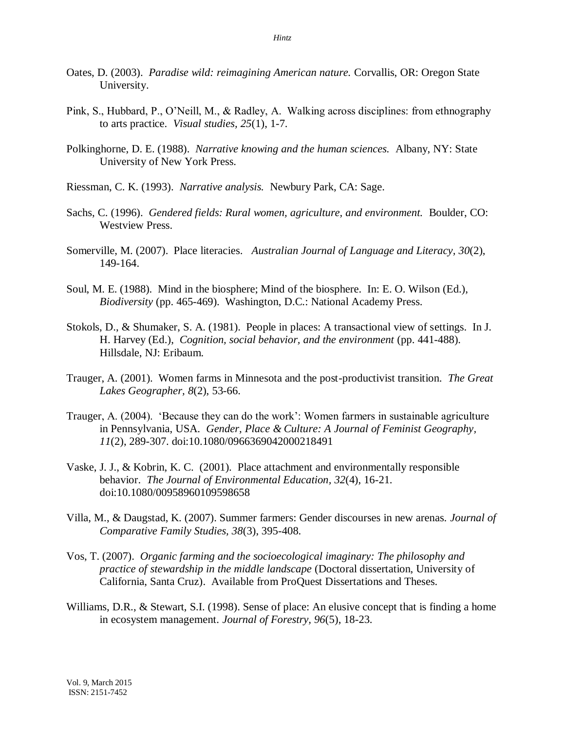- Oates, D. (2003). *Paradise wild: reimagining American nature.* Corvallis, OR: Oregon State University.
- Pink, S., Hubbard, P., O'Neill, M., & Radley, A. Walking across disciplines: from ethnography to arts practice. *Visual studies, 25*(1), 1-7.
- Polkinghorne, D. E. (1988). *Narrative knowing and the human sciences.* Albany, NY: State University of New York Press.
- Riessman, C. K. (1993). *Narrative analysis.* Newbury Park, CA: Sage.
- Sachs, C. (1996). *Gendered fields: Rural women, agriculture, and environment.* Boulder, CO: Westview Press.
- Somerville, M. (2007). Place literacies. *Australian Journal of Language and Literacy, 30*(2), 149-164.
- Soul, M. E. (1988). Mind in the biosphere; Mind of the biosphere. In: E. O. Wilson (Ed.), *Biodiversity* (pp. 465-469). Washington, D.C.: National Academy Press.
- Stokols, D., & Shumaker, S. A. (1981). People in places: A transactional view of settings. In J. H. Harvey (Ed.), *Cognition, social behavior, and the environment* (pp. 441-488). Hillsdale, NJ: Eribaum.
- Trauger, A. (2001). Women farms in Minnesota and the post-productivist transition. *The Great Lakes Geographer, 8*(2), 53-66.
- Trauger, A. (2004). 'Because they can do the work': Women farmers in sustainable agriculture in Pennsylvania, USA. *Gender, Place & Culture: A Journal of Feminist Geography, 11*(2), 289-307. doi:10.1080/0966369042000218491
- Vaske, J. J., & Kobrin, K. C. (2001). Place attachment and environmentally responsible behavior. *The Journal of Environmental Education, 32*(4), 16-21. doi:10.1080/00958960109598658
- Villa, M., & Daugstad, K. (2007). Summer farmers: Gender discourses in new arenas. *Journal of Comparative Family Studies, 38*(3), 395-408.
- Vos, T. (2007). *Organic farming and the socioecological imaginary: The philosophy and practice of stewardship in the middle landscape* (Doctoral dissertation, University of California, Santa Cruz). Available from ProQuest Dissertations and Theses.
- Williams, D.R., & Stewart, S.I. (1998). Sense of place: An elusive concept that is finding a home in ecosystem management. *Journal of Forestry, 96*(5), 18-23.